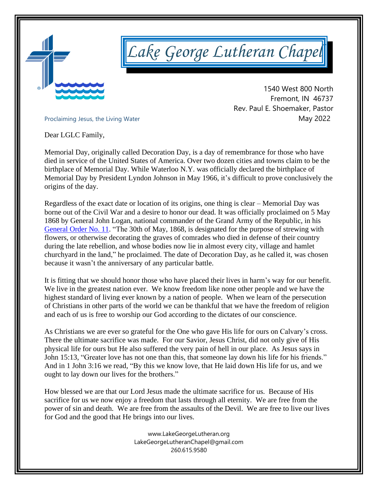

*Lake George Lutheran Chapel* 

 1540 West 800 North Fremont, IN 46737 Rev. Paul E. Shoemaker, Pastor Proclaiming Jesus, the Living Water<br>
May 2022

Dear LGLC Family,

Memorial Day, originally called Decoration Day, is a day of remembrance for those who have died in service of the United States of America. Over two dozen cities and towns claim to be the birthplace of Memorial Day. While Waterloo N.Y. was officially declared the birthplace of Memorial Day by President Lyndon Johnson in May 1966, it's difficult to prove conclusively the origins of the day.

Regardless of the exact date or location of its origins, one thing is clear – Memorial Day was borne out of the Civil War and a desire to honor our dead. It was officially proclaimed on 5 May 1868 by General John Logan, national commander of the Grand Army of the Republic, in his [General](http://www.usmemorialday.org/?p=90) Order No. 11. "The 30th of May, 1868, is designated for the purpose of strewing with flowers, or otherwise decorating the graves of comrades who died in defense of their country during the late rebellion, and whose bodies now lie in almost every city, village and hamlet churchyard in the land," he proclaimed. The date of Decoration Day, as he called it, was chosen because it wasn't the anniversary of any particular battle.

It is fitting that we should honor those who have placed their lives in harm's way for our benefit. We live in the greatest nation ever. We know freedom like none other people and we have the highest standard of living ever known by a nation of people. When we learn of the persecution of Christians in other parts of the world we can be thankful that we have the freedom of religion and each of us is free to worship our God according to the dictates of our conscience.

As Christians we are ever so grateful for the One who gave His life for ours on Calvary's cross. There the ultimate sacrifice was made. For our Savior, Jesus Christ, did not only give of His physical life for ours but He also suffered the very pain of hell in our place. As Jesus says in John 15:13, "Greater love has not one than this, that someone lay down his life for his friends." And in 1 John 3:16 we read, "By this we know love, that He laid down His life for us, and we ought to lay down our lives for the brothers."

How blessed we are that our Lord Jesus made the ultimate sacrifice for us. Because of His sacrifice for us we now enjoy a freedom that lasts through all eternity. We are free from the power of sin and death. We are free from the assaults of the Devil. We are free to live our lives for God and the good that He brings into our lives.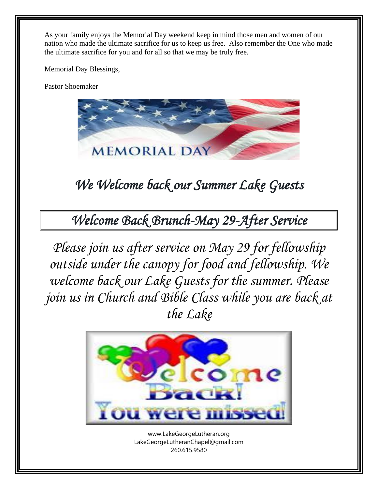As your family enjoys the Memorial Day weekend keep in mind those men and women of our nation who made the ultimate sacrifice for us to keep us free. Also remember the One who made the ultimate sacrifice for you and for all so that we may be truly free.

Memorial Day Blessings,

Pastor Shoemaker



*We Welcome back our Summer Lake Guests* 

*Welcome Back Brunch-May 29-After Service*

*Please join us after service on May 29 for fellowship outside under the canopy for food and fellowship. We welcome back our Lake Guests for the summer. Please join us in Church and Bible Class while you are back at the Lake*



[www.LakeGeorgeLutheran.org](http://www.lakegeorgelutheran.org/) [LakeGeorgeLutheranC](mailto:LakeGeorgeLCMS@Frontier.com)hapel@gmail.com 260.615.9580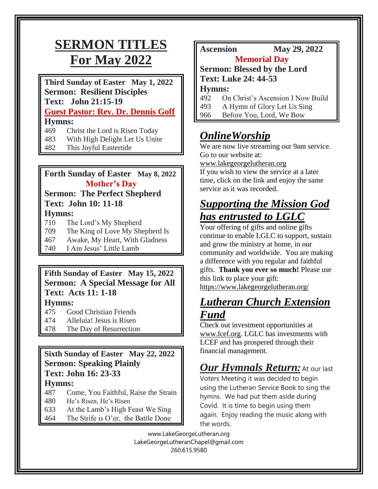# **SERMON TITLES For May 2022**

**Third Sunday of Easter May 1, 2022 Sermon: Resilient Disciples Text: John 21:15-19 Guest Pastor: Rev. Dr. Dennis Goff Hymns:** 

- 469 Christ the Lord is Risen Today
- 483 With High Delight Let Us Unite
- 482 This Joyful Eastertide

### **Forth Sunday of Easter May 8, 2022 Mother's Day**

### **Sermon: The Perfect Shepherd Text: John 10: 11-18 Hymns:**

- 710 The Lord's My Shepherd
- 709 The King of Love My Shepherd Is
- 467 Awake, My Heart, With Gladness
- 740 I Am Jesus' Little Lamb

## **Fifth Sunday of Easter May 15, 2022 Sermon: A Special Message for All Text: Acts 11: 1-18**

**Hymns:** 

- 475 Good Christian Friends
- 474 Alleluia! Jesus is Risen
- 478 The Day of Resurrection

## **Sixth Sunday of Easter May 22, 2022 Sermon: Speaking Plainly Text: John 16: 23-33**

### **Hymns:**

- 487 Come, You Faithful, Raise the Strain
- 480 He's Risen, He's Risen
- 633 At the Lamb's High Feast We Sing
- 464 The Strife is O'er, the Battle Done

## **Ascension May 29, 2022**

### **Memorial Day**

**Sermon: Blessed by the Lord**

**Text: Luke 24: 44-53**

**Hymns:**

- 492 On Christ's Ascension I Now Build
- 493 A Hymn of Glory Let Us Sing
- 966 Before You, Lord, We Bow

## *OnlineWorship*

We are now live streaming our 9am service. Go to our website at:

#### [www.lakegeorgelutheran.org](http://www.lakegeorgelutheran.org/)

If you wish to view the service at a later time, click on the link and enjoy the same service as it was recorded.

## *Supporting the Mission God has entrusted to LGLC*

Your offering of gifts and online gifts continue to enable LGLC to support, sustain and grow the ministry at home, in our community and worldwide. You are making a difference with you regular and faithful gifts. **Thank you ever so much!** Please use this link to place your gift: <https://www.lakegeorgelutheran.org/>

## *Lutheran Church Extension Fund*

Check out investment opportunities at [www.lcef.org.](http://www.lcef.org/) LGLC has investments with LCEF and has prospered through their financial management.

# *Our Hymnals Return:* At our last

Voters Meeting it was decided to begin using the Lutheran Service Book to sing the hymns. We had put them aside during Covid. It is time to begin using them again. Enjoy reading the music along with the words.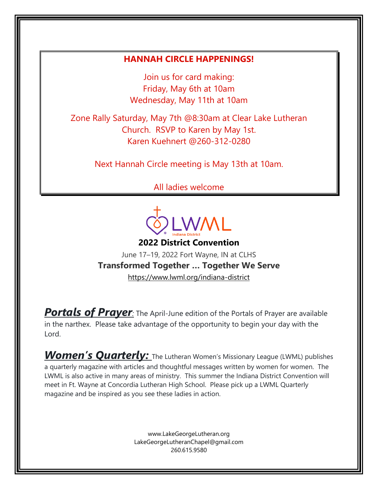### **HANNAH CIRCLE HAPPENINGS!**

Join us for card making: Friday, May 6th at 10am Wednesday, May 11th at 10am

Zone Rally Saturday, May 7th @8:30am at Clear Lake Lutheran Church. RSVP to Karen by May 1st. Karen Kuehnert @260-312-0280

Next Hannah Circle meeting is May 13th at 10am.

All ladies welcome



June 17–19, 2022 Fort Wayne, IN at CLHS **Transformed Together … Together We Serve** <https://www.lwml.org/indiana-district>

**Portals of Prayer**: The April-June edition of the Portals of Prayer are available in the narthex. Please take advantage of the opportunity to begin your day with the Lord.

**Women's Quarterly:** The Lutheran Women's Missionary League (LWML) publishes a quarterly magazine with articles and thoughtful messages written by women for women. The LWML is also active in many areas of ministry. This summer the Indiana District Convention will meet in Ft. Wayne at Concordia Lutheran High School. Please pick up a LWML Quarterly magazine and be inspired as you see these ladies in action.